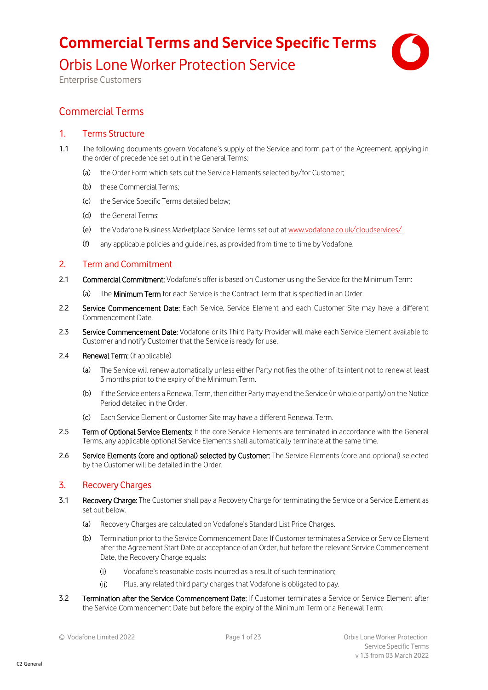Orbis Lone Worker Protection Service



Enterprise Customers

## Commercial Terms

### 1. Terms Structure

- 1.1 The following documents govern Vodafone's supply of the Service and form part of the Agreement, applying in the order of precedence set out in the General Terms:
	- (a) the Order Form which sets out the Service Elements selected by/for Customer;
	- (b) these Commercial Terms;
	- (c) the Service Specific Terms detailed below;
	- (d) the General Terms;
	- (e) the Vodafone Business Marketplace Service Terms set out at [www.vodafone.co.uk/cloudservices/](http://www.vodafone.co.uk/cloudservices/)
	- (f) any applicable policies and guidelines, as provided from time to time by Vodafone.

### 2. Term and Commitment

- 2.1 Commercial Commitment: Vodafone's offer is based on Customer using the Service for the Minimum Term:
	- (a) The Minimum Term for each Service is the Contract Term that is specified in an Order.
- 2.2 Service Commencement Date: Each Service, Service Element and each Customer Site may have a different Commencement Date.
- 2.3 Service Commencement Date: Vodafone or its Third Party Provider will make each Service Element available to Customer and notify Customer that the Service is ready for use.
- 2.4 Renewal Term: (if applicable)
	- (a) The Service will renew automatically unless either Party notifies the other of its intent not to renew at least 3 months prior to the expiry of the Minimum Term.
	- (b) If the Service enters a Renewal Term, then either Party may end the Service (in whole or partly) on the Notice Period detailed in the Order.
	- (c) Each Service Element or Customer Site may have a different Renewal Term.
- 2.5 Term of Optional Service Elements: If the core Service Elements are terminated in accordance with the General Terms, any applicable optional Service Elements shall automatically terminate at the same time.
- 2.6 Service Elements (core and optional) selected by Customer: The Service Elements (core and optional) selected by the Customer will be detailed in the Order.

### 3. Recovery Charges

- 3.1 Recovery Charge: The Customer shall pay a Recovery Charge for terminating the Service or a Service Element as set out below.
	- (a) Recovery Charges are calculated on Vodafone's Standard List Price Charges.
	- (b) Termination prior to the Service Commencement Date: If Customer terminates a Service or Service Element after the Agreement Start Date or acceptance of an Order, but before the relevant Service Commencement Date, the Recovery Charge equals:
		- $(i)$ Vodafone's reasonable costs incurred as a result of such termination;
		- $(ii)$ Plus, any related third party charges that Vodafone is obligated to pay.
- 3.2 Termination after the Service Commencement Date: If Customer terminates a Service or Service Element after the Service Commencement Date but before the expiry of the Minimum Term or a Renewal Term: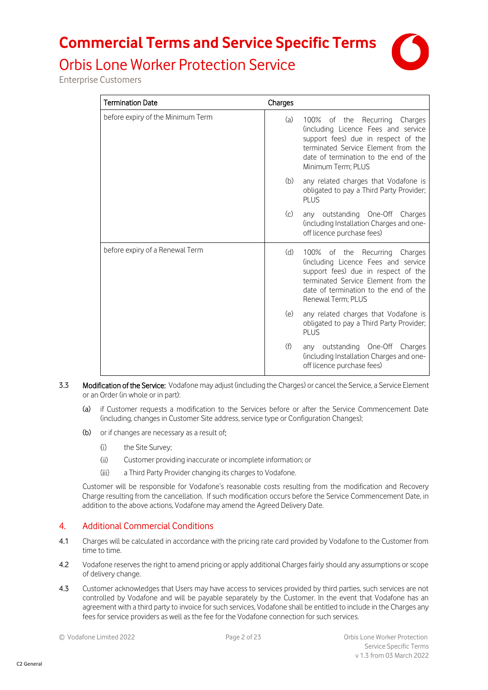

# Orbis Lone Worker Protection Service

Enterprise Customers

| <b>Termination Date</b>           | Charges                                                                                                                                                                                                                  |         |
|-----------------------------------|--------------------------------------------------------------------------------------------------------------------------------------------------------------------------------------------------------------------------|---------|
| before expiry of the Minimum Term | 100% of the Recurring Charges<br>(a)<br>(including Licence Fees and service<br>support fees) due in respect of the<br>terminated Service Element from the<br>date of termination to the end of the<br>Minimum Term; PLUS |         |
|                                   | (b)<br>any related charges that Vodafone is<br>obligated to pay a Third Party Provider;<br>PLUS                                                                                                                          |         |
|                                   | (c)<br>any outstanding One-Off Charges<br>(including Installation Charges and one-<br>off licence purchase fees)                                                                                                         |         |
| before expiry of a Renewal Term   | (d)<br>100% of the<br>Recurring<br>(including Licence Fees and service<br>support fees) due in respect of the<br>terminated Service Element from the<br>date of termination to the end of the<br>Renewal Term: PLUS      | Charges |
|                                   | (e)<br>any related charges that Vodafone is<br>obligated to pay a Third Party Provider;<br>PLUS                                                                                                                          |         |
|                                   | (f)<br>any outstanding One-Off Charges<br>(including Installation Charges and one-<br>off licence purchase fees)                                                                                                         |         |

- 3.3 Modification of the Service: Vodafone may adjust (including the Charges) or cancel the Service, a Service Element or an Order (in whole or in part):
	- (a) if Customer requests a modification to the Services before or after the Service Commencement Date (including, changes in Customer Site address, service type or Configuration Changes);
	- (b) or if changes are necessary as a result of:
		- $(i)$ the Site Survey;
		- $(ii)$ Customer providing inaccurate or incomplete information; or
		- $(iii)$ a Third Party Provider changing its charges to Vodafone.

Customer will be responsible for Vodafone's reasonable costs resulting from the modification and Recovery Charge resulting from the cancellation. If such modification occurs before the Service Commencement Date, in addition to the above actions, Vodafone may amend the Agreed Delivery Date.

### 4. Additional Commercial Conditions

- 4.1 Charges will be calculated in accordance with the pricing rate card provided by Vodafone to the Customer from time to time.
- 4.2 Vodafone reserves the right to amend pricing or apply additional Charges fairly should any assumptions or scope of delivery change.
- 4.3 Customer acknowledges that Users may have access to services provided by third parties, such services are not controlled by Vodafone and will be payable separately by the Customer. In the event that Vodafone has an agreement with a third party to invoice for such services, Vodafone shall be entitled to include in the Charges any fees for service providers as well as the fee for the Vodafone connection for such services.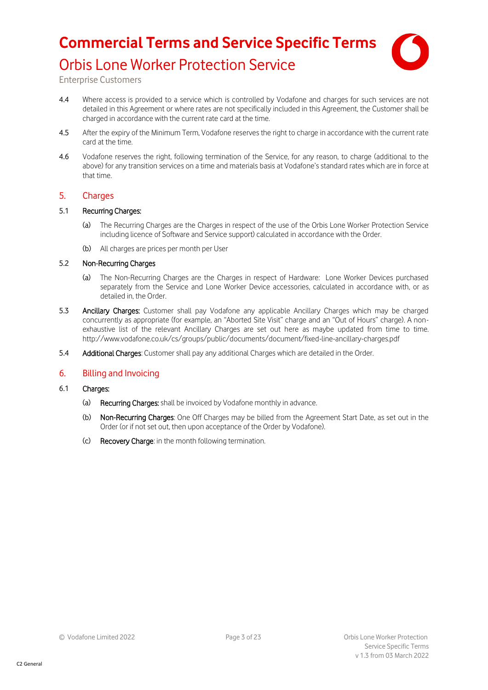

## Orbis Lone Worker Protection Service

Enterprise Customers

- 4.4 Where access is provided to a service which is controlled by Vodafone and charges for such services are not detailed in this Agreement or where rates are not specifically included in this Agreement, the Customer shall be charged in accordance with the current rate card at the time.
- 4.5 After the expiry of the Minimum Term, Vodafone reserves the right to charge in accordance with the current rate card at the time.
- 4.6 Vodafone reserves the right, following termination of the Service, for any reason, to charge (additional to the above) for any transition services on a time and materials basis at Vodafone's standard rates which are in force at that time.

#### 5. Charges

#### 5.1 Recurring Charges:

- The Recurring Charges are the Charges in respect of the use of the Orbis Lone Worker Protection Service including licence of Software and Service support) calculated in accordance with the Order.
- (b) All charges are prices per month per User

#### 5.2 Non-Recurring Charges

- (a) The Non-Recurring Charges are the Charges in respect of Hardware: Lone Worker Devices purchased separately from the Service and Lone Worker Device accessories, calculated in accordance with, or as detailed in, the Order.
- 5.3 Ancillary Charges: Customer shall pay Vodafone any applicable Ancillary Charges which may be charged concurrently as appropriate (for example, an "Aborted Site Visit" charge and an "Out of Hours" charge). A nonexhaustive list of the relevant Ancillary Charges are set out here as maybe updated from time to time. <http://www.vodafone.co.uk/cs/groups/public/documents/document/fixed-line-ancillary-charges.pdf>
- 5.4 Additional Charges: Customer shall pay any additional Charges which are detailed in the Order.

#### 6. Billing and Invoicing

- 6.1 Charges:
	- (a) Recurring Charges: shall be invoiced by Vodafone monthly in advance.
	- (b) Non-Recurring Charges: One Off Charges may be billed from the Agreement Start Date, as set out in the Order (or if not set out, then upon acceptance of the Order by Vodafone).
	- (c) Recovery Charge: in the month following termination.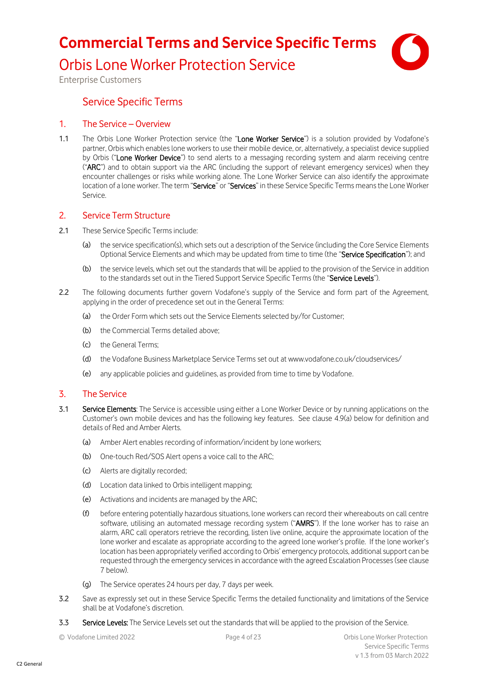Orbis Lone Worker Protection Service



Enterprise Customers

## Service Specific Terms

#### 1. The Service – Overview

1.1 The Orbis Lone Worker Protection service (the "Lone Worker Service") is a solution provided by Vodafone's partner, Orbis which enables lone workers to use their mobile device, or, alternatively, a specialist device supplied by Orbis ("Lone Worker Device") to send alerts to a messaging recording system and alarm receiving centre ("ARC") and to obtain support via the ARC (including the support of relevant emergency services) when they encounter challenges or risks while working alone. The Lone Worker Service can also identify the approximate location of a lone worker. The term "Service" or "Services" in these Service Specific Terms means the Lone Worker Service.

#### 2. Service Term Structure

- 2.1 These Service Specific Terms include:
	- (a) the service specification(s), which sets out a description of the Service (including the Core Service Elements Optional Service Elements and which may be updated from time to time (the "Service Specification"); and
	- (b) the service levels, which set out the standards that will be applied to the provision of the Service in addition to the standards set out in the Tiered Support Service Specific Terms (the "Service Levels").
- 2.2 The following documents further govern Vodafone's supply of the Service and form part of the Agreement, applying in the order of precedence set out in the General Terms:
	- (a) the Order Form which sets out the Service Elements selected by/for Customer;
	- (b) the Commercial Terms detailed above;
	- (c) the General Terms;
	- (d) the Vodafone Business Marketplace Service Terms set out at www.vodafone.co.uk/cloudservices/
	- (e) any applicable policies and guidelines, as provided from time to time by Vodafone.

### 3. The Service

- 3.1 Service Elements: The Service is accessible using either a Lone Worker Device or by running applications on the Customer's own mobile devices and has the following key features. See clause [4.9\(a\)](#page-6-0) below for definition and details of Red and Amber Alerts.
	- (a) Amber Alert enables recording of information/incident by lone workers;
	- (b) One-touch Red/SOS Alert opens a voice call to the ARC;
	- (c) Alerts are digitally recorded;
	- (d) Location data linked to Orbis intelligent mapping;
	- (e) Activations and incidents are managed by the ARC;
	- (f) before entering potentially hazardous situations, lone workers can record their whereabouts on call centre software, utilising an automated message recording system ("AMRS"). If the lone worker has to raise an alarm, ARC call operators retrieve the recording, listen live online, acquire the approximate location of the lone worker and escalate as appropriate according to the agreed lone worker's profile. If the lone worker's location has been appropriately verified according to Orbis' emergency protocols, additional support can be requested through the emergency servicesin accordance with the agreed Escalation Processes (see clause [7](#page-12-0) below).
	- (g) The Service operates 24 hours per day, 7 days per week.
- 3.2 Save as expressly set out in these Service Specific Terms the detailed functionality and limitations of the Service shall be at Vodafone's discretion.
- 3.3 Service Levels: The Service Levels set out the standards that will be applied to the provision of the Service.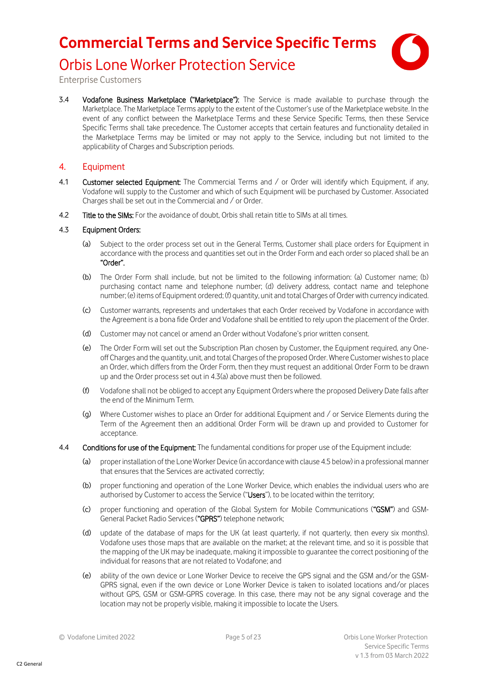

Orbis Lone Worker Protection Service

Enterprise Customers

3.4 Vodafone Business Marketplace ("Marketplace"): The Service is made available to purchase through the Marketplace. The Marketplace Terms apply to the extent of the Customer's use of the Marketplace website. In the event of any conflict between the Marketplace Terms and these Service Specific Terms, then these Service Specific Terms shall take precedence. The Customer accepts that certain features and functionality detailed in the Marketplace Terms may be limited or may not apply to the Service, including but not limited to the applicability of Charges and Subscription periods.

### 4. Equipment

- 4.1 Customer selected Equipment: The Commercial Terms and / or Order will identify which Equipment, if any, Vodafone will supply to the Customer and which of such Equipment will be purchased by Customer. Associated Charges shall be set out in the Commercial and / or Order.
- 4.2 Title to the SIMs: For the avoidance of doubt, Orbis shall retain title to SIMs at all times.

#### <span id="page-4-0"></span>4.3 Equipment Orders:

- Subject to the order process set out in the General Terms, Customer shall place orders for Equipment in accordance with the process and quantities set out in the Order Form and each order so placed shall be an "Order".
- (b) The Order Form shall include, but not be limited to the following information: (a) Customer name; (b) purchasing contact name and telephone number; (d) delivery address, contact name and telephone number; (e) items of Equipment ordered; (f) quantity, unit and total Charges of Order with currency indicated.
- (c) Customer warrants, represents and undertakes that each Order received by Vodafone in accordance with the Agreement is a bona fide Order and Vodafone shall be entitled to rely upon the placement of the Order.
- (d) Customer may not cancel or amend an Order without Vodafone's prior written consent.
- (e) The Order Form will set out the Subscription Plan chosen by Customer, the Equipment required, any Oneoff Charges and the quantity, unit, and total Charges of the proposed Order. Where Customer wishes to place an Order, which differs from the Order Form, then they must request an additional Order Form to be drawn up and the Order process set out i[n 4.3\(a\)](#page-4-0) above must then be followed.
- (f) Vodafone shall not be obliged to accept any Equipment Orders where the proposed Delivery Date falls after the end of the Minimum Term.
- (g) Where Customer wishes to place an Order for additional Equipment and / or Service Elements during the Term of the Agreement then an additional Order Form will be drawn up and provided to Customer for acceptance.
- 4.4 Conditions for use of the Equipment: The fundamental conditions for proper use of the Equipment include:
	- (a) proper installation of the Lone Worker Device (in accordance with claus[e 4.5](#page-5-0) below) in a professional manner that ensures that the Services are activated correctly;
	- (b) proper functioning and operation of the Lone Worker Device, which enables the individual users who are authorised by Customer to access the Service ("Users"), to be located within the territory;
	- (c) proper functioning and operation of the Global System for Mobile Communications ("GSM") and GSM-General Packet Radio Services ("GPRS") telephone network;
	- (d) update of the database of maps for the UK (at least quarterly, if not quarterly, then every six months). Vodafone uses those maps that are available on the market; at the relevant time, and so it is possible that the mapping of the UK may be inadequate, making it impossible to guarantee the correct positioning of the individual for reasons that are not related to Vodafone; and
	- (e) ability of the own device or Lone Worker Device to receive the GPS signal and the GSM and/or the GSM-GPRS signal, even if the own device or Lone Worker Device is taken to isolated locations and/or places without GPS, GSM or GSM-GPRS coverage. In this case, there may not be any signal coverage and the location may not be properly visible, making it impossible to locate the Users.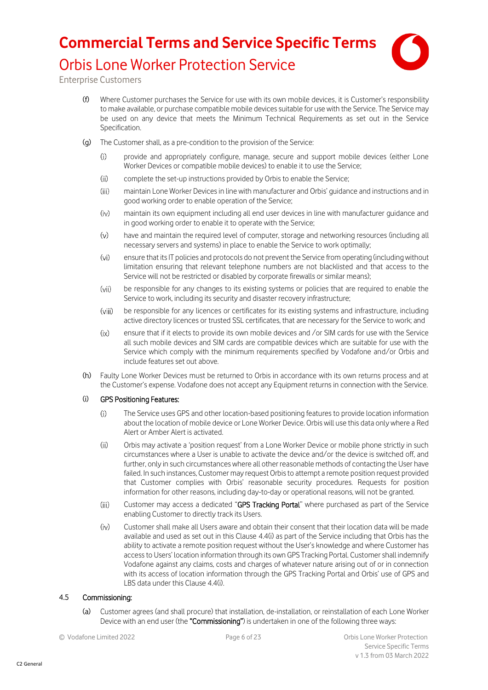

Enterprise Customers

- (f) Where Customer purchases the Service for use with its own mobile devices, it is Customer's responsibility to make available, or purchase compatible mobile devices suitable for use with the Service. The Service may be used on any device that meets the Minimum Technical Requirements as set out in the Service Specification.
- (g) The Customer shall, as a pre-condition to the provision of the Service:
	- provide and appropriately configure, manage, secure and support mobile devices (either Lone  $(i)$ Worker Devices or compatible mobile devices) to enable it to use the Service;
	- $(ii)$ complete the set-up instructions provided by Orbis to enable the Service;
	- $(iii)$ maintain Lone Worker Devices in line with manufacturer and Orbis' guidance and instructions and in good working order to enable operation of the Service;
	- $(iv)$ maintain its own equipment including all end user devices in line with manufacturer guidance and in good working order to enable it to operate with the Service;
	- $(v)$ have and maintain the required level of computer, storage and networking resources (including all necessary servers and systems) in place to enable the Service to work optimally;
	- $(v<sub>i</sub>)$ ensure that its IT policies and protocols do not prevent the Service from operating (including without limitation ensuring that relevant telephone numbers are not blacklisted and that access to the Service will not be restricted or disabled by corporate firewalls or similar means);
	- $(vii)$ be responsible for any changes to its existing systems or policies that are required to enable the Service to work, including its security and disaster recovery infrastructure;
	- $(viii)$ be responsible for any licences or certificates for its existing systems and infrastructure, including active directory licences or trusted SSL certificates, that are necessary for the Service to work; and
	- ensure that if it elects to provide its own mobile devices and /or SIM cards for use with the Service  $(ix)$ all such mobile devices and SIM cards are compatible devices which are suitable for use with the Service which comply with the minimum requirements specified by Vodafone and/or Orbis and include features set out above.
- (h) Faulty Lone Worker Devices must be returned to Orbis in accordance with its own returns process and at the Customer's expense. Vodafone does not accept any Equipment returns in connection with the Service.

#### <span id="page-5-1"></span>(i) GPS Positioning Features:

- $(i)$ The Service uses GPS and other location-based positioning features to provide location information about the location of mobile device or Lone Worker Device. Orbis will use this data only where a Red Alert or Amber Alert is activated.
- $(ii)$ Orbis may activate a 'position request' from a Lone Worker Device or mobile phone strictly in such circumstances where a User is unable to activate the device and/or the device is switched off, and further, only in such circumstances where all other reasonable methods of contacting the User have failed. In such instances, Customer may request Orbis to attempt a remote position request provided that Customer complies with Orbis' reasonable security procedures. Requests for position information for other reasons, including day-to-day or operational reasons, will not be granted.
- $(iii)$ Customer may access a dedicated "GPS Tracking Portal" where purchased as part of the Service enabling Customer to directly track its Users.
- $(iv)$ Customer shall make all Users aware and obtain their consent that their location data will be made available and used as set out in this Claus[e 4.4\(i\)](#page-5-1) as part of the Service including that Orbis has the ability to activate a remote position request without the User's knowledge and where Customer has access to Users' location information through its own GPS Tracking Portal. Customer shall indemnify Vodafone against any claims, costs and charges of whatever nature arising out of or in connection with its access of location information through the GPS Tracking Portal and Orbis' use of GPS and LBS data under this Claus[e 4.4\(i\).](#page-5-1)

#### <span id="page-5-0"></span>4.5 Commissioning:

(a) Customer agrees (and shall procure) that installation, de-installation, or reinstallation of each Lone Worker Device with an end user (the "Commissioning") is undertaken in one of the following three ways: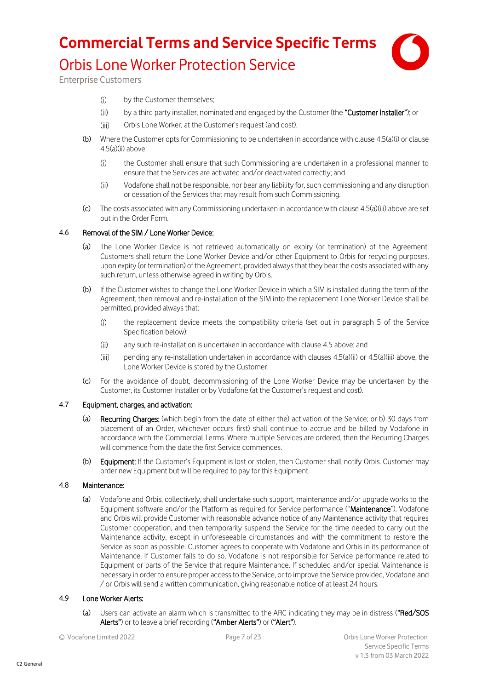

<span id="page-6-2"></span><span id="page-6-1"></span>Enterprise Customers

- $(i)$ by the Customer themselves;
- $(ii)$ by a third party installer, nominated and engaged by the Customer (the "Customer Installer"); or
- $(iii)$ Orbis Lone Worker, at the Customer's request (and cost).
- <span id="page-6-3"></span>(b) Where the Customer opts for Commissioning to be undertaken in accordance with claus[e 4.5\(a\)\(i\)](#page-6-1) or clause [4.5\(a\)\(ii\)](#page-6-2) above:
	- $(i)$ the Customer shall ensure that such Commissioning are undertaken in a professional manner to ensure that the Services are activated and/or deactivated correctly; and
	- $(ii)$ Vodafone shall not be responsible, nor bear any liability for, such commissioning and any disruption or cessation of the Services that may result from such Commissioning.
- (c) The costs associated with any Commissioning undertaken in accordance with claus[e 4.5\(a\)\(iii\)](#page-6-3) above are set out in the Order Form.

#### 4.6 Removal of the SIM / Lone Worker Device:

- (a) The Lone Worker Device is not retrieved automatically on expiry (or termination) of the Agreement. Customers shall return the Lone Worker Device and/or other Equipment to Orbis for recycling purposes, upon expiry (or termination) of the Agreement, provided always that they bear the costs associated with any such return, unless otherwise agreed in writing by Orbis.
- (b) If the Customer wishes to change the Lone Worker Device in which a SIM is installed during the term of the Agreement, then removal and re-installation of the SIM into the replacement Lone Worker Device shall be permitted, provided always that:
	- the replacement device meets the compatibility criteria (set out in paragraph [5](#page-18-0) of the Service  $(i)$ Specification below);
	- $(ii)$ any such re-installation is undertaken in accordance with clause [4.5](#page-5-0) above; and
	- $(iii)$ pending any re-installation undertaken in accordance with clause[s 4.5\(a\)\(ii\)](#page-6-2) o[r 4.5\(a\)\(iii\)](#page-6-3) above, the Lone Worker Device is stored by the Customer.
- (c) For the avoidance of doubt, decommissioning of the Lone Worker Device may be undertaken by the Customer, its Customer Installer or by Vodafone (at the Customer's request and cost).

#### 4.7 Equipment, charges, and activation:

- (a) Recurring Charges: (which begin from the date of either the) activation of the Service; or b) 30 days from placement of an Order, whichever occurs first) shall continue to accrue and be billed by Vodafone in accordance with the Commercial Terms. Where multiple Services are ordered, then the Recurring Charges will commence from the date the first Service commences.
- (b) Equipment: If the Customer's Equipment is lost or stolen, then Customer shall notify Orbis. Customer may order new Equipment but will be required to pay for this Equipment.

#### 4.8 Maintenance:

(a) Vodafone and Orbis, collectively, shall undertake such support, maintenance and/or upgrade works to the Equipment software and/or the Platform as required for Service performance ("Maintenance"). Vodafone and Orbis will provide Customer with reasonable advance notice of any Maintenance activity that requires Customer cooperation, and then temporarily suspend the Service for the time needed to carry out the Maintenance activity, except in unforeseeable circumstances and with the commitment to restore the Service as soon as possible. Customer agrees to cooperate with Vodafone and Orbis in its performance of Maintenance. If Customer fails to do so, Vodafone is not responsible for Service performance related to Equipment or parts of the Service that require Maintenance. If scheduled and/or special Maintenance is necessary in order to ensure proper access to the Service, or to improve the Service provided, Vodafone and / or Orbis will send a written communication, giving reasonable notice of at least 24 hours.

#### <span id="page-6-0"></span>4.9 Lone Worker Alerts:

- (a) Users can activate an alarm which is transmitted to the ARC indicating they may be in distress ("Red/SOS Alerts") or to leave a brief recording ("Amber Alerts") or ("Alert").
-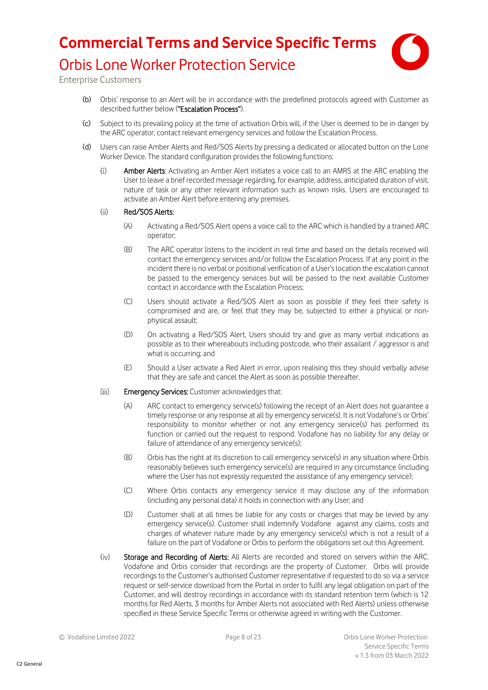

Enterprise Customers

- (b) Orbis' response to an Alert will be in accordance with the predefined protocols agreed with Customer as described further below ("Escalation Process").
- (c) Subject to its prevailing policy at the time of activation Orbis will, if the User is deemed to be in danger by the ARC operator, contact relevant emergency services and follow the Escalation Process.
- (d) Users can raise Amber Alerts and Red/SOS Alerts by pressing a dedicated or allocated button on the Lone Worker Device. The standard configuration provides the following functions:
	- Amber Alerts: Activating an Amber Alert initiates a voice call to an AMRS at the ARC enabling the  $(i)$ User to leave a brief recorded message regarding, for example, address, anticipated duration of visit, nature of task or any other relevant information such as known risks. Users are encouraged to activate an Amber Alert before entering any premises.

#### $(ii)$ Red/SOS Alerts:

- (A) Activating a Red/SOS Alert opens a voice call to the ARC which is handled by a trained ARC operator;
- (B) The ARC operator listens to the incident in real time and based on the details received will contact the emergency services and/or follow the Escalation Process. If at any point in the incident there is no verbal or positional verification of a User's location the escalation cannot be passed to the emergency services but will be passed to the next available Customer contact in accordance with the Escalation Process;
- (C) Users should activate a Red/SOS Alert as soon as possible if they feel their safety is compromised and are, or feel that they may be, subjected to either a physical or nonphysical assault;
- (D) On activating a Red/SOS Alert, Users should try and give as many verbal indications as possible as to their whereabouts including postcode, who their assailant / aggressor is and what is occurring; and
- (E) Should a User activate a Red Alert in error, upon realising this they should verbally advise that they are safe and cancel the Alert as soon as possible thereafter.
- $(iii)$ Emergency Services: Customer acknowledges that:
	- (A) ARC contact to emergency service(s) following the receipt of an Alert does not guarantee a timely response or any response at all by emergency service(s). It is not Vodafone's or Orbis' responsibility to monitor whether or not any emergency service(s) has performed its function or carried out the request to respond. Vodafone has no liability for any delay or failure of attendance of any emergency service(s);
	- (B) Orbis has the right at its discretion to call emergency service(s) in any situation where Orbis reasonably believes such emergency service(s) are required in any circumstance (including where the User has not expressly requested the assistance of any emergency service);
	- (C) Where Orbis contacts any emergency service it may disclose any of the information (including any personal data) it holds in connection with any User; and
	- (D) Customer shall at all times be liable for any costs or charges that may be levied by any emergency service(s). Customer shall indemnify Vodafone against any claims, costs and charges of whatever nature made by any emergency service(s) which is not a result of a failure on the part of Vodafone or Orbis to perform the obligations set out this Agreement.
- $(iv)$ Storage and Recording of Alerts: All Alerts are recorded and stored on servers within the ARC. Vodafone and Orbis consider that recordings are the property of Customer. Orbis will provide recordings to the Customer's authorised Customer representative if requested to do so via a service request or self-service download from the Portal in order to fulfil any legal obligation on part of the Customer, and will destroy recordings in accordance with its standard retention term (which is 12 months for Red Alerts, 3 months for Amber Alerts not associated with Red Alerts) unless otherwise specified in these Service Specific Terms or otherwise agreed in writing with the Customer.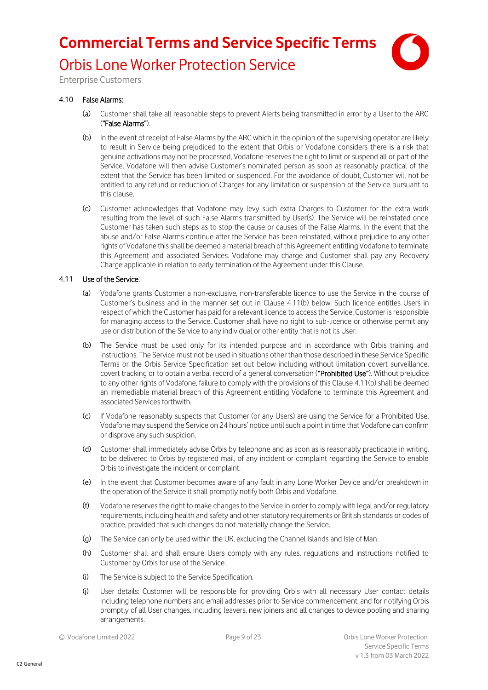

Enterprise Customers

#### 4.10 False Alarms:

- (a) Customer shall take all reasonable steps to prevent Alerts being transmitted in error by a User to the ARC ("False Alarms").
- (b) In the event of receipt of False Alarms by the ARC which in the opinion of the supervising operator are likely to result in Service being prejudiced to the extent that Orbis or Vodafone considers there is a risk that genuine activations may not be processed, Vodafone reserves the right to limit or suspend all or part of the Service. Vodafone will then advise Customer's nominated person as soon as reasonably practical of the extent that the Service has been limited or suspended. For the avoidance of doubt, Customer will not be entitled to any refund or reduction of Charges for any limitation or suspension of the Service pursuant to this clause.
- (c) Customer acknowledges that Vodafone may levy such extra Charges to Customer for the extra work resulting from the level of such False Alarms transmitted by User(s). The Service will be reinstated once Customer has taken such steps as to stop the cause or causes of the False Alarms. In the event that the abuse and/or False Alarms continue after the Service has been reinstated, without prejudice to any other rights of Vodafone this shall be deemed a material breach of this Agreement entitling Vodafone to terminate this Agreement and associated Services. Vodafone may charge and Customer shall pay any Recovery Charge applicable in relation to early termination of the Agreement under this Clause.

#### 4.11 Use of the Service:

- (a) Vodafone grants Customer a non-exclusive, non-transferable licence to use the Service in the course of Customer's business and in the manner set out in Clause [4.11\(b\)](#page-8-0) below. Such licence entitles Users in respect of which the Customer has paid for a relevant licence to access the Service. Customer isresponsible for managing access to the Service. Customer shall have no right to sub-licence or otherwise permit any use or distribution of the Service to any individual or other entity that is not its User.
- <span id="page-8-0"></span>(b) The Service must be used only for its intended purpose and in accordance with Orbis training and instructions. The Service must not be used in situations other than those described in these Service Specific Terms or the Orbis Service Specification set out below including without limitation covert surveillance, covert tracking or to obtain a verbal record of a general conversation ("Prohibited Use"). Without prejudice to any other rights of Vodafone, failure to comply with the provisions of this Claus[e 4.11\(b\)](#page-8-0) shall be deemed an irremediable material breach of this Agreement entitling Vodafone to terminate this Agreement and associated Services forthwith.
- (c) If Vodafone reasonably suspects that Customer (or any Users) are using the Service for a Prohibited Use, Vodafone may suspend the Service on 24 hours' notice until such a point in time that Vodafone can confirm or disprove any such suspicion.
- (d) Customer shall immediately advise Orbis by telephone and as soon as is reasonably practicable in writing, to be delivered to Orbis by registered mail, of any incident or complaint regarding the Service to enable Orbis to investigate the incident or complaint.
- (e) In the event that Customer becomes aware of any fault in any Lone Worker Device and/or breakdown in the operation of the Service it shall promptly notify both Orbis and Vodafone.
- (f) Vodafone reserves the right to make changes to the Service in order to comply with legal and/or regulatory requirements, including health and safety and other statutory requirements or British standards or codes of practice, provided that such changes do not materially change the Service.
- (g) The Service can only be used within the UK, excluding the Channel Islands and Isle of Man.
- (h) Customer shall and shall ensure Users comply with any rules, regulations and instructions notified to Customer by Orbis for use of the Service.
- (i) The Service is subject to the Service Specification.
- (j) User details: Customer will be responsible for providing Orbis with all necessary User contact details including telephone numbers and email addresses prior to Service commencement, and for notifying Orbis promptly of all User changes, including leavers, new joiners and all changes to device pooling and sharing arrangements.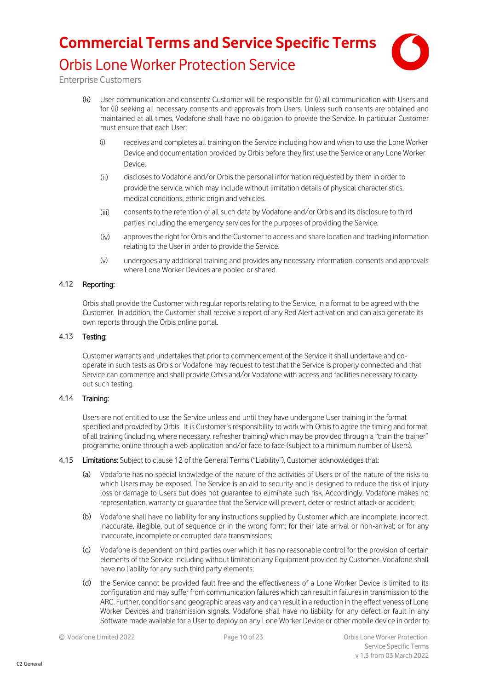

Enterprise Customers

- (k) User communication and consents: Customer will be responsible for (i) all communication with Users and for (ii) seeking all necessary consents and approvals from Users. Unless such consents are obtained and maintained at all times, Vodafone shall have no obligation to provide the Service. In particular Customer must ensure that each User:
	- (i) receives and completes all training on the Service including how and when to use the Lone Worker Device and documentation provided by Orbis before they first use the Service or any Lone Worker Device.
	- $(ii)$ discloses to Vodafone and/or Orbis the personal information requested by them in order to provide the service, which may include without limitation details of physical characteristics, medical conditions, ethnic origin and vehicles.
	- $(iii)$ consents to the retention of all such data by Vodafone and/or Orbis and its disclosure to third parties including the emergency services for the purposes of providing the Service.
	- $(iv)$ approves the right for Orbis and the Customer to access and share location and tracking information relating to the User in order to provide the Service.
	- (v) undergoes any additional training and provides any necessary information, consents and approvals where Lone Worker Devices are pooled or shared.

#### 4.12 Reporting:

Orbis shall provide the Customer with regular reports relating to the Service, in a format to be agreed with the Customer. In addition, the Customer shall receive a report of any Red Alert activation and can also generate its own reports through the Orbis online portal.

#### 4.13 Testing:

Customer warrants and undertakes that prior to commencement of the Service it shall undertake and cooperate in such tests as Orbis or Vodafone may request to test that the Service is properly connected and that Service can commence and shall provide Orbis and/or Vodafone with access and facilities necessary to carry out such testing.

#### 4.14 Training:

Users are not entitled to use the Service unless and until they have undergone User training in the format specified and provided by Orbis. It is Customer's responsibility to work with Orbis to agree the timing and format of all training (including, where necessary, refresher training) which may be provided through a "train the trainer" programme, online through a web application and/or face to face (subject to a minimum number of Users).

#### 4.15 Limitations: Subject to clause 12 of the General Terms ("Liability"), Customer acknowledges that:

- (a) Vodafone has no special knowledge of the nature of the activities of Users or of the nature of the risks to which Users may be exposed. The Service is an aid to security and is designed to reduce the risk of injury loss or damage to Users but does not guarantee to eliminate such risk. Accordingly, Vodafone makes no representation, warranty or guarantee that the Service will prevent, deter or restrict attack or accident;
- (b) Vodafone shall have no liability for any instructions supplied by Customer which are incomplete, incorrect, inaccurate, illegible, out of sequence or in the wrong form; for their late arrival or non-arrival; or for any inaccurate, incomplete or corrupted data transmissions;
- (c) Vodafone is dependent on third parties over which it has no reasonable control for the provision of certain elements of the Service including without limitation any Equipment provided by Customer. Vodafone shall have no liability for any such third party elements;
- (d) the Service cannot be provided fault free and the effectiveness of a Lone Worker Device is limited to its configuration and may suffer from communication failures which can result in failures in transmission to the ARC. Further, conditions and geographic areas vary and can result in a reduction in the effectiveness of Lone Worker Devices and transmission signals. Vodafone shall have no liability for any defect or fault in any Software made available for a User to deploy on any Lone Worker Device or other mobile device in order to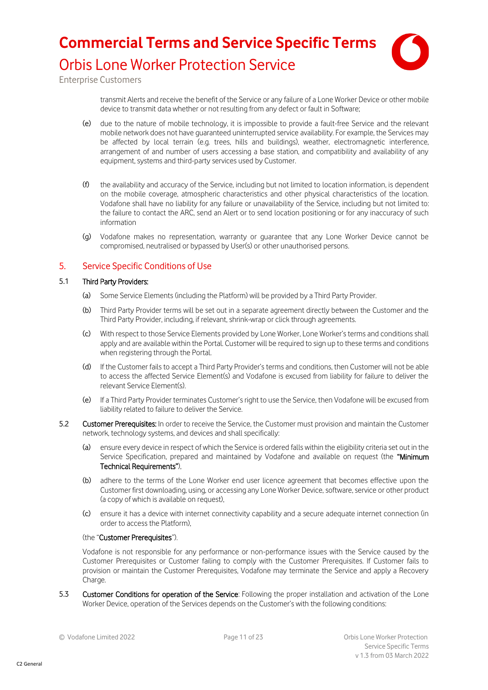

# Orbis Lone Worker Protection Service

Enterprise Customers

transmit Alerts and receive the benefit of the Service or any failure of a Lone Worker Device or other mobile device to transmit data whether or not resulting from any defect or fault in Software;

- (e) due to the nature of mobile technology, it is impossible to provide a fault-free Service and the relevant mobile network does not have guaranteed uninterrupted service availability. For example, the Services may be affected by local terrain (e.g. trees, hills and buildings), weather, electromagnetic interference, arrangement of and number of users accessing a base station, and compatibility and availability of any equipment, systems and third-party services used by Customer.
- (f) the availability and accuracy of the Service, including but not limited to location information, is dependent on the mobile coverage, atmospheric characteristics and other physical characteristics of the location. Vodafone shall have no liability for any failure or unavailability of the Service, including but not limited to: the failure to contact the ARC, send an Alert or to send location positioning or for any inaccuracy of such information
- (g) Vodafone makes no representation, warranty or guarantee that any Lone Worker Device cannot be compromised, neutralised or bypassed by User(s) or other unauthorised persons.

### 5. Service Specific Conditions of Use

#### 5.1 Third Party Providers:

- (a) Some Service Elements (including the Platform) will be provided by a Third Party Provider.
- (b) Third Party Provider terms will be set out in a separate agreement directly between the Customer and the Third Party Provider, including, if relevant, shrink-wrap or click through agreements.
- (c) With respect to those Service Elements provided by Lone Worker, Lone Worker's terms and conditions shall apply and are available within the Portal. Customer will be required to sign up to these terms and conditions when registering through the Portal.
- (d) If the Customer fails to accept a Third Party Provider's terms and conditions, then Customer will not be able to access the affected Service Element(s) and Vodafone is excused from liability for failure to deliver the relevant Service Element(s).
- (e) If a Third Party Provider terminates Customer's right to use the Service, then Vodafone will be excused from liability related to failure to deliver the Service.
- 5.2 Customer Prerequisites: In order to receive the Service, the Customer must provision and maintain the Customer network, technology systems, and devices and shall specifically:
	- (a) ensure every device in respect of which the Service is ordered falls within the eligibility criteria set out in the Service Specification, prepared and maintained by Vodafone and available on request (the "Minimum Technical Requirements"),
	- (b) adhere to the terms of the Lone Worker end user licence agreement that becomes effective upon the Customer first downloading, using, or accessing any Lone Worker Device, software, service or other product (a copy of which is available on request),
	- (c) ensure it has a device with internet connectivity capability and a secure adequate internet connection (in order to access the Platform),

#### (the "Customer Prerequisites").

Vodafone is not responsible for any performance or non-performance issues with the Service caused by the Customer Prerequisites or Customer failing to comply with the Customer Prerequisites. If Customer fails to provision or maintain the Customer Prerequisites, Vodafone may terminate the Service and apply a Recovery Charge.

5.3 Customer Conditions for operation of the Service: Following the proper installation and activation of the Lone Worker Device, operation of the Services depends on the Customer's with the following conditions: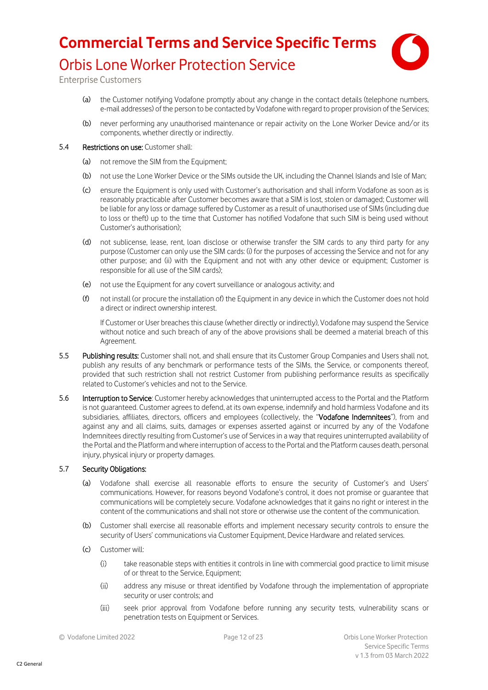

Enterprise Customers

- (a) the Customer notifying Vodafone promptly about any change in the contact details (telephone numbers, e-mail addresses) of the person to be contacted by Vodafone with regard to proper provision of the Services;
- (b) never performing any unauthorised maintenance or repair activity on the Lone Worker Device and/or its components, whether directly or indirectly.

#### 5.4 Restrictions on use: Customer shall:

- (a) not remove the SIM from the Equipment:
- (b) not use the Lone Worker Device or the SIMs outside the UK, including the Channel Islands and Isle of Man;
- (c) ensure the Equipment is only used with Customer's authorisation and shall inform Vodafone as soon as is reasonably practicable after Customer becomes aware that a SIM is lost, stolen or damaged; Customer will be liable for any loss or damage suffered by Customer as a result of unauthorised use of SIMs (including due to loss or theft) up to the time that Customer has notified Vodafone that such SIM is being used without Customer's authorisation);
- (d) not sublicense, lease, rent, loan disclose or otherwise transfer the SIM cards to any third party for any purpose (Customer can only use the SIM cards: (i) for the purposes of accessing the Service and not for any other purpose; and (ii) with the Equipment and not with any other device or equipment; Customer is responsible for all use of the SIM cards);
- (e) not use the Equipment for any covert surveillance or analogous activity; and
- (f) not install (or procure the installation of) the Equipment in any device in which the Customer does not hold a direct or indirect ownership interest.

If Customer or User breaches this clause (whether directly or indirectly), Vodafone may suspend the Service without notice and such breach of any of the above provisions shall be deemed a material breach of this Agreement.

- 5.5 Publishing results: Customer shall not, and shall ensure that its Customer Group Companies and Users shall not, publish any results of any benchmark or performance tests of the SIMs, the Service, or components thereof, provided that such restriction shall not restrict Customer from publishing performance results as specifically related to Customer's vehicles and not to the Service.
- 5.6 Interruption to Service: Customer hereby acknowledges that uninterrupted access to the Portal and the Platform is not guaranteed. Customer agrees to defend, at its own expense, indemnify and hold harmless Vodafone and its subsidiaries, affiliates, directors, officers and employees (collectively, the "Vodafone Indemnitees"), from and against any and all claims, suits, damages or expenses asserted against or incurred by any of the Vodafone Indemnitees directly resulting from Customer's use of Services in a way that requires uninterrupted availability of the Portal and the Platform and where interruption of access to the Portal and the Platform causes death, personal injury, physical injury or property damages.

#### 5.7 Security Obligations:

- (a) Vodafone shall exercise all reasonable efforts to ensure the security of Customer's and Users' communications. However, for reasons beyond Vodafone's control, it does not promise or guarantee that communications will be completely secure. Vodafone acknowledges that it gains no right or interest in the content of the communications and shall not store or otherwise use the content of the communication.
- (b) Customer shall exercise all reasonable efforts and implement necessary security controls to ensure the security of Users' communications via Customer Equipment, Device Hardware and related services.
- (c) Customer will:
	- $(i)$ take reasonable steps with entities it controls in line with commercial good practice to limit misuse of or threat to the Service, Equipment;
	- $(ii)$ address any misuse or threat identified by Vodafone through the implementation of appropriate security or user controls; and
	- $(iii)$ seek prior approval from Vodafone before running any security tests, vulnerability scans or penetration tests on Equipment or Services.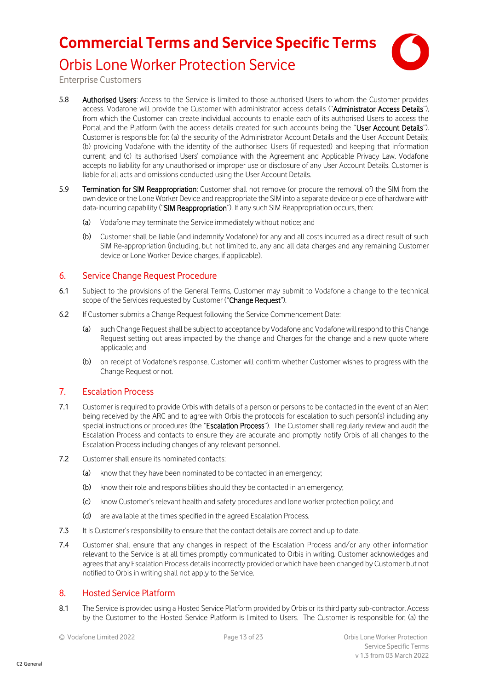

## Orbis Lone Worker Protection Service

Enterprise Customers

- 5.8 Authorised Users: Access to the Service is limited to those authorised Users to whom the Customer provides access. Vodafone will provide the Customer with administrator access details ("Administrator Access Details"), from which the Customer can create individual accounts to enable each of its authorised Users to access the Portal and the Platform (with the access details created for such accounts being the "User Account Details"). Customer is responsible for: (a) the security of the Administrator Account Details and the User Account Details; (b) providing Vodafone with the identity of the authorised Users (if requested) and keeping that information current; and (c) its authorised Users' compliance with the Agreement and Applicable Privacy Law. Vodafone accepts no liability for any unauthorised or improper use or disclosure of any User Account Details. Customer is liable for all acts and omissions conducted using the User Account Details.
- 5.9 Termination for SIM Reappropriation: Customer shall not remove (or procure the removal of) the SIM from the own device or the Lone Worker Device and reappropriate the SIM into a separate device or piece of hardware with data-incurring capability ("SIM Reappropriation"). If any such SIM Reappropriation occurs, then:
	- (a) Vodafone may terminate the Service immediately without notice; and
	- (b) Customer shall be liable (and indemnify Vodafone) for any and all costs incurred as a direct result of such SIM Re-appropriation (including, but not limited to, any and all data charges and any remaining Customer device or Lone Worker Device charges, if applicable).

### 6. Service Change Request Procedure

- 6.1 Subject to the provisions of the General Terms, Customer may submit to Vodafone a change to the technical scope of the Services requested by Customer ("Change Request").
- 6.2 If Customer submits a Change Request following the Service Commencement Date:
	- (a) such Change Request shall be subject to acceptance by Vodafone and Vodafone will respond to this Change Request setting out areas impacted by the change and Charges for the change and a new quote where applicable; and
	- (b) on receipt of Vodafone's response, Customer will confirm whether Customer wishes to progress with the Change Request or not.

### <span id="page-12-0"></span>7. Escalation Process

- 7.1 Customer is required to provide Orbis with details of a person or persons to be contacted in the event of an Alert being received by the ARC and to agree with Orbis the protocols for escalation to such person(s) including any special instructions or procedures (the "Escalation Process"). The Customer shall regularly review and audit the Escalation Process and contacts to ensure they are accurate and promptly notify Orbis of all changes to the Escalation Process including changes of any relevant personnel.
- 7.2 Customer shall ensure its nominated contacts:
	- (a) know that they have been nominated to be contacted in an emergency;
	- (b) know their role and responsibilities should they be contacted in an emergency;
	- (c) know Customer's relevant health and safety procedures and lone worker protection policy; and
	- (d) are available at the times specified in the agreed Escalation Process.
- 7.3 It is Customer's responsibility to ensure that the contact details are correct and up to date.
- 7.4 Customer shall ensure that any changes in respect of the Escalation Process and/or any other information relevant to the Service is at all times promptly communicated to Orbis in writing. Customer acknowledges and agrees that any Escalation Process details incorrectly provided or which have been changed by Customer but not notified to Orbis in writing shall not apply to the Service.

### <span id="page-12-1"></span>8. Hosted Service Platform

<span id="page-12-2"></span>8.1 The Service is provided using a Hosted Service Platform provided by Orbis or its third party sub-contractor. Access by the Customer to the Hosted Service Platform is limited to Users. The Customer is responsible for; (a) the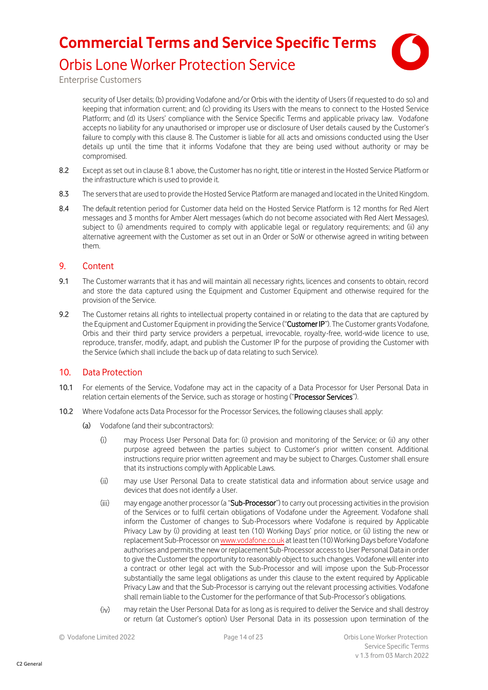

Orbis Lone Worker Protection Service

Enterprise Customers

security of User details; (b) providing Vodafone and/or Orbis with the identity of Users (if requested to do so) and keeping that information current; and (c) providing its Users with the means to connect to the Hosted Service Platform; and (d) its Users' compliance with the Service Specific Terms and applicable privacy law. Vodafone accepts no liability for any unauthorised or improper use or disclosure of User details caused by the Customer's failure to comply with this clause [8.](#page-12-1) The Customer is liable for all acts and omissions conducted using the User details up until the time that it informs Vodafone that they are being used without authority or may be compromised.

- 8.2 Except as set out in claus[e 8.1](#page-12-2) above, the Customer has no right, title or interest in the Hosted Service Platform or the infrastructure which is used to provide it.
- 8.3 The servers that are used to provide the Hosted Service Platform are managed and located in the United Kingdom.
- 8.4 The default retention period for Customer data held on the Hosted Service Platform is 12 months for Red Alert messages and 3 months for Amber Alert messages (which do not become associated with Red Alert Messages), subject to (i) amendments required to comply with applicable legal or requlatory requirements; and (ii) any alternative agreement with the Customer as set out in an Order or SoW or otherwise agreed in writing between them.

### 9. Content

- 9.1 The Customer warrants that it has and will maintain all necessary rights, licences and consents to obtain, record and store the data captured using the Equipment and Customer Equipment and otherwise required for the provision of the Service.
- 9.2 The Customer retains all rights to intellectual property contained in or relating to the data that are captured by the Equipment and Customer Equipment in providing the Service ("Customer IP"). The Customer grants Vodafone, Orbis and their third party service providers a perpetual, irrevocable, royalty-free, world-wide licence to use, reproduce, transfer, modify, adapt, and publish the Customer IP for the purpose of providing the Customer with the Service (which shall include the back up of data relating to such Service).

### 10. Data Protection

- 10.1 For elements of the Service, Vodafone may act in the capacity of a Data Processor for User Personal Data in relation certain elements of the Service, such as storage or hosting ("Processor Services").
- 10.2 Where Vodafone acts Data Processor for the Processor Services, the following clauses shall apply:
	- (a) Vodafone (and their subcontractors):
		- $(i)$ may Process User Personal Data for: (i) provision and monitoring of the Service; or (ii) any other purpose agreed between the parties subject to Customer's prior written consent. Additional instructions require prior written agreement and may be subject to Charges. Customer shall ensure that its instructions comply with Applicable Laws.
		- $(ii)$ may use User Personal Data to create statistical data and information about service usage and devices that does not identify a User.
		- $(iii)$ may engage another processor (a "Sub-Processor") to carry out processing activities in the provision of the Services or to fulfil certain obligations of Vodafone under the Agreement. Vodafone shall inform the Customer of changes to Sub-Processors where Vodafone is required by Applicable Privacy Law by (i) providing at least ten (10) Working Days' prior notice, or (ii) listing the new or replacement Sub-Processor o[n www.vodafone.co.uk](https://eur03.safelinks.protection.outlook.com/?url=http%3A%2F%2Fwww.vodafone.co.uk%2F&data=04%7C01%7Cjac.hewitt%40vodafone.com%7C205b4bca0b494b3fc24308d9ed429602%7C68283f3b84874c86adb3a5228f18b893%7C0%7C0%7C637801692504628877%7CUnknown%7CTWFpbGZsb3d8eyJWIjoiMC4wLjAwMDAiLCJQIjoiV2luMzIiLCJBTiI6Ik1haWwiLCJXVCI6Mn0%3D%7C3000&sdata=BuLVpD%2BhVEZu4ZWh8eIjkoLa8P%2Fd8z%2BzJf%2FIlDiUoU0%3D&reserved=0) at least ten (10) Working Days before Vodafone authorises and permits the new or replacement Sub-Processor access to User Personal Data in order to give the Customer the opportunity to reasonably object to such changes. Vodafone will enter into a contract or other legal act with the Sub-Processor and will impose upon the Sub-Processor substantially the same legal obligations as under this clause to the extent required by Applicable Privacy Law and that the Sub-Processor is carrying out the relevant processing activities. Vodafone shall remain liable to the Customer for the performance of that Sub-Processor's obligations.
		- $(iv)$ may retain the User Personal Data for as long as is required to deliver the Service and shall destroy or return (at Customer's option) User Personal Data in its possession upon termination of the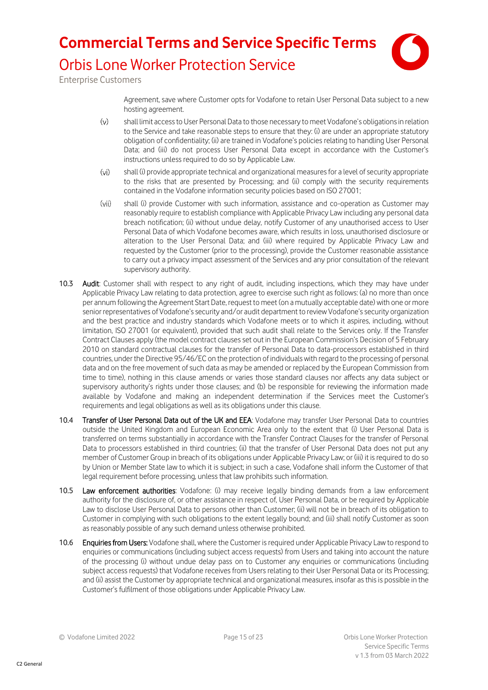

Enterprise Customers

Agreement, save where Customer opts for Vodafone to retain User Personal Data subject to a new hosting agreement.

- $(v)$ shall limit access to User Personal Data to those necessary to meet Vodafone's obligations in relation to the Service and take reasonable steps to ensure that they: (i) are under an appropriate statutory obligation of confidentiality; (ii) are trained in Vodafone's policies relating to handling User Personal Data; and (iii) do not process User Personal Data except in accordance with the Customer's instructions unless required to do so by Applicable Law.
- $(v<sub>i</sub>)$ shall (i) provide appropriate technical and organizational measures for a level of security appropriate to the risks that are presented by Processing; and (ii) comply with the security requirements contained in the Vodafone information security policies based on ISO 27001;
- $(vii)$ shall (i) provide Customer with such information, assistance and co-operation as Customer may reasonably require to establish compliance with Applicable Privacy Law including any personal data breach notification; (ii) without undue delay, notify Customer of any unauthorised access to User Personal Data of which Vodafone becomes aware, which results in loss, unauthorised disclosure or alteration to the User Personal Data; and (iii) where required by Applicable Privacy Law and requested by the Customer (prior to the processing), provide the Customer reasonable assistance to carry out a privacy impact assessment of the Services and any prior consultation of the relevant supervisory authority.
- 10.3 Audit: Customer shall with respect to any right of audit, including inspections, which they may have under Applicable Privacy Law relating to data protection, agree to exercise such right as follows: (a) no more than once per annum following the Agreement Start Date, request to meet (on a mutually acceptable date) with one or more senior representatives of Vodafone's security and/or audit department to review Vodafone's security organization and the best practice and industry standards which Vodafone meets or to which it aspires, including, without limitation, ISO 27001 (or equivalent), provided that such audit shall relate to the Services only. If the Transfer Contract Clauses apply (the model contract clauses set out in the European Commission's Decision of 5 February 2010 on standard contractual clauses for the transfer of Personal Data to data-processors established in third countries, under the Directive 95/46/EC on the protection of individuals with regard to the processing of personal data and on the free movement of such data as may be amended or replaced by the European Commission from time to time), nothing in this clause amends or varies those standard clauses nor affects any data subject or supervisory authority's rights under those clauses; and (b) be responsible for reviewing the information made available by Vodafone and making an independent determination if the Services meet the Customer's requirements and legal obligations as well as its obligations under this clause.
- 10.4 Transfer of User Personal Data out of the UK and EEA: Vodafone may transfer User Personal Data to countries outside the United Kingdom and European Economic Area only to the extent that (i) User Personal Data is transferred on terms substantially in accordance with the Transfer Contract Clauses for the transfer of Personal Data to processors established in third countries; (ii) that the transfer of User Personal Data does not put any member of Customer Group in breach of its obligations under Applicable Privacy Law; or (iii) it is required to do so by Union or Member State law to which it is subject; in such a case, Vodafone shall inform the Customer of that legal requirement before processing, unless that law prohibits such information.
- 10.5 Law enforcement authorities: Vodafone: (i) may receive legally binding demands from a law enforcement authority for the disclosure of, or other assistance in respect of, User Personal Data, or be required by Applicable Law to disclose User Personal Data to persons other than Customer; (ii) will not be in breach of its obligation to Customer in complying with such obligations to the extent legally bound; and (iii) shall notify Customer as soon as reasonably possible of any such demand unless otherwise prohibited.
- 10.6 Enquiries from Users: Vodafone shall, where the Customer is required under Applicable Privacy Law to respond to enquiries or communications (including subject access requests) from Users and taking into account the nature of the processing (i) without undue delay pass on to Customer any enquiries or communications (including subject access requests) that Vodafone receives from Users relating to their User Personal Data or its Processing; and (ii) assist the Customer by appropriate technical and organizational measures, insofar as this is possible in the Customer's fulfilment of those obligations under Applicable Privacy Law.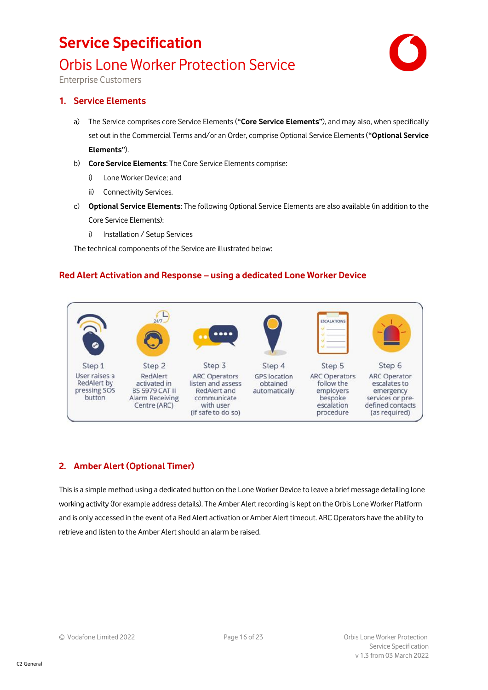# Orbis Lone Worker Protection Service



Enterprise Customers

### **1. Service Elements**

- a) The Service comprises core Service Elements (**"Core Service Elements"**), and may also, when specifically set out in the Commercial Terms and/or an Order, comprise Optional Service Elements (**"Optional Service Elements"**).
- b) **Core Service Elements**: The Core Service Elements comprise:
	- i) Lone Worker Device; and
	- ii) Connectivity Services.
- c) **Optional Service Elements**: The following Optional Service Elements are also available (in addition to the Core Service Elements):
	- i) Installation / Setup Services

The technical components of the Service are illustrated below:

### **Red Alert Activation and Response – using a dedicated Lone Worker Device**



### **2. Amber Alert (Optional Timer)**

This is a simple method using a dedicated button on the Lone Worker Device to leave a brief message detailing lone working activity (for example address details). The Amber Alert recording is kept on the Orbis Lone Worker Platform and is only accessed in the event of a Red Alert activation or Amber Alert timeout. ARC Operators have the ability to retrieve and listen to the Amber Alert should an alarm be raised.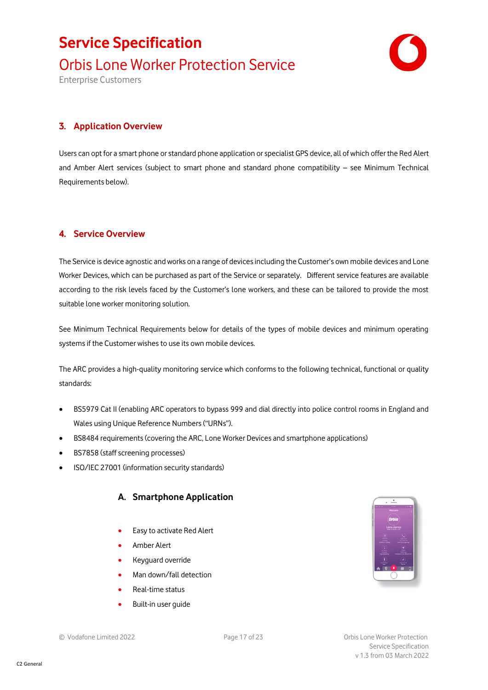# **Service Specification** Orbis Lone Worker Protection Service

Enterprise Customers



### **3. Application Overview**

Users can opt for a smart phone or standard phone application or specialist GPS device, all of which offer the Red Alert and Amber Alert services (subject to smart phone and standard phone compatibility – see Minimum Technical Requirements below).

### **4. Service Overview**

The Service is device agnostic and works on a range of devices including the Customer's own mobile devices and Lone Worker Devices, which can be purchased as part of the Service or separately. Different service features are available according to the risk levels faced by the Customer's lone workers, and these can be tailored to provide the most suitable lone worker monitoring solution.

See Minimum Technical Requirements below for details of the types of mobile devices and minimum operating systems if the Customer wishes to use its own mobile devices.

The ARC provides a high-quality monitoring service which conforms to the following technical, functional or quality standards:

- BS5979 Cat II (enabling ARC operators to bypass 999 and dial directly into police control rooms in England and Wales using Unique Reference Numbers ("URNs").
- BS8484 requirements (covering the ARC, Lone Worker Devices and smartphone applications)
- BS7858 (staff screening processes)
- ISO/IEC 27001 (information security standards)

### **A. Smartphone Application**

- Easy to activate Red Alert
- Amber Alert
- Keyguard override
- Man down/fall detection
- Real-time status
- Built-in user quide

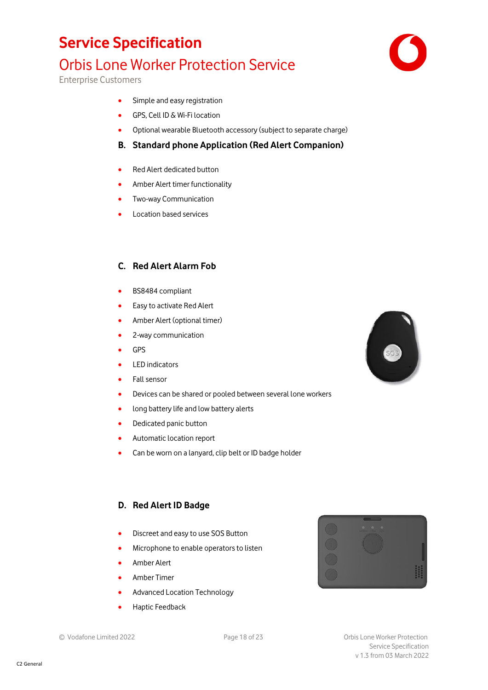# Orbis Lone Worker Protection Service

Enterprise Customers

- Simple and easy registration
- GPS, Cell ID & Wi-Fi location
- Optional wearable Bluetooth accessory (subject to separate charge)

### **B. Standard phone Application (Red Alert Companion)**

- Red Alert dedicated button
- Amber Alert timer functionality
- Two-way Communication
- Location based services

### **C. Red Alert Alarm Fob**

- BS8484 compliant
- Easy to activate Red Alert
- Amber Alert (optional timer)
- 2-way communication
- GPS
- LED indicators
- Fall sensor
- Devices can be shared or pooled between several lone workers
- long battery life and low battery alerts
- Dedicated panic button
- Automatic location report
- Can be worn on a lanyard, clip belt or ID badge holder

### **D. Red Alert ID Badge**

- Discreet and easy to use SOS Button
- Microphone to enable operators to listen
- Amber Alert
- Amber Timer
- Advanced Location Technology
- Haptic Feedback





C2 General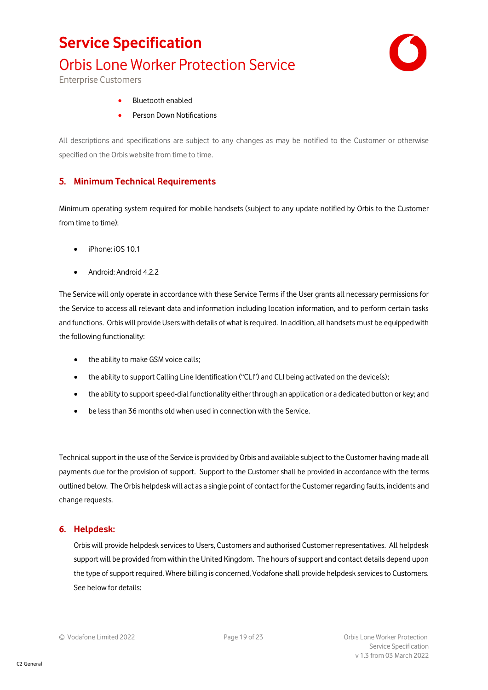# Orbis Lone Worker Protection Service



Enterprise Customers

- Bluetooth enabled
- Person Down Notifications

All descriptions and specifications are subject to any changes as may be notified to the Customer or otherwise specified on the Orbis website from time to time.

### <span id="page-18-0"></span>**5. Minimum Technical Requirements**

Minimum operating system required for mobile handsets (subject to any update notified by Orbis to the Customer from time to time):

- iPhone: iOS 10.1
- Android: Android 4.2.2

The Service will only operate in accordance with these Service Terms if the User grants all necessary permissions for the Service to access all relevant data and information including location information, and to perform certain tasks and functions. Orbis will provide Users with details of what is required. In addition, all handsets must be equipped with the following functionality:

- the ability to make GSM voice calls;
- the ability to support Calling Line Identification ("CLI") and CLI being activated on the device(s);
- the ability to support speed-dial functionality either through an application or a dedicated button or key; and
- be less than 36 months old when used in connection with the Service.

Technical support in the use of the Service is provided by Orbis and available subject to the Customer having made all payments due for the provision of support. Support to the Customer shall be provided in accordance with the terms outlined below. The Orbis helpdesk will act as a single point of contact for the Customer regarding faults, incidents and change requests.

### **6. Helpdesk:**

Orbis will provide helpdesk services to Users, Customers and authorised Customer representatives. All helpdesk support will be provided from within the United Kingdom. The hours of support and contact details depend upon the type of support required. Where billing is concerned, Vodafone shall provide helpdesk services to Customers. See below for details: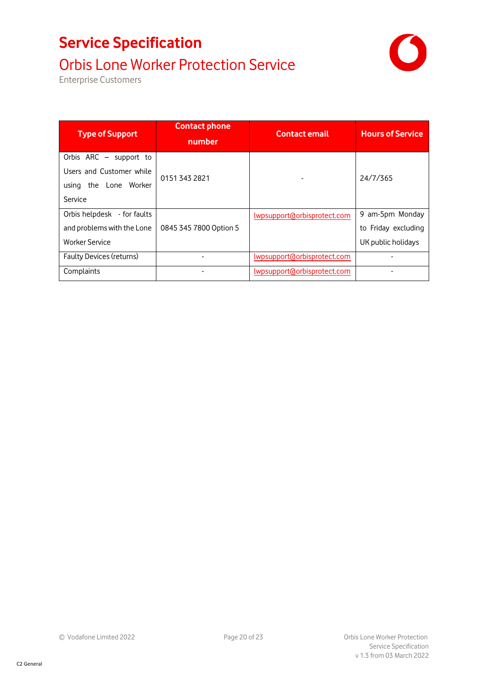# Orbis Lone Worker Protection Service

Enterprise Customers

| <b>Type of Support</b>      | <b>Contact phone</b><br>number | <b>Contact email</b>         | <b>Hours of Service</b> |
|-----------------------------|--------------------------------|------------------------------|-------------------------|
| Orbis ARC - support to      |                                |                              |                         |
| Users and Customer while    | 01513432821                    |                              | 24/7/365                |
| the Lone Worker<br>using    |                                |                              |                         |
| Service                     |                                |                              |                         |
| Orbis helpdesk - for faults |                                | lwpsupport@orbisprotect.com  | 9 am-5pm Monday         |
| and problems with the Lone  | 0845 345 7800 Option 5         |                              | to Friday excluding     |
| <b>Worker Service</b>       |                                |                              | UK public holidays      |
| Faulty Devices (returns)    |                                | lwpsupport@orbisprotect.com  |                         |
| Complaints                  |                                | lwpsupport(dorbisprotect.com |                         |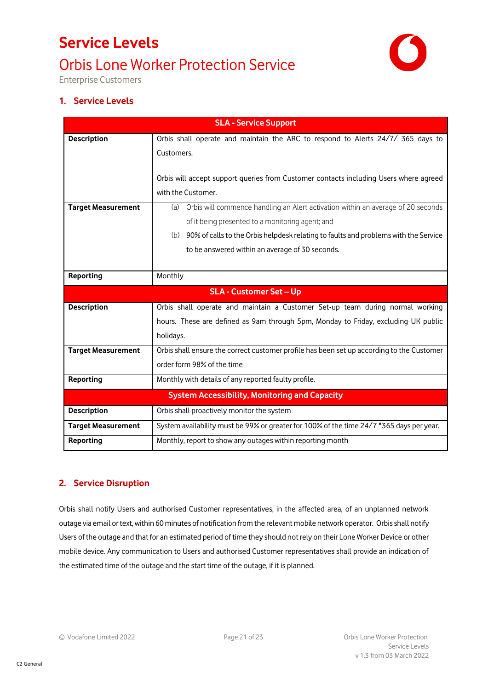# **Service Levels** Orbis Lone Worker Protection Service



Enterprise Customers

### **1. Service Levels**

| <b>SLA - Service Support</b>   |                                                                                            |  |
|--------------------------------|--------------------------------------------------------------------------------------------|--|
| <b>Description</b>             | Orbis shall operate and maintain the ARC to respond to Alerts 24/7/ 365 days to            |  |
|                                | Customers.                                                                                 |  |
|                                |                                                                                            |  |
|                                | Orbis will accept support queries from Customer contacts including Users where agreed      |  |
|                                | with the Customer.                                                                         |  |
| <b>Target Measurement</b>      | Orbis will commence handling an Alert activation within an average of 20 seconds<br>(a)    |  |
|                                | of it being presented to a monitoring agent; and                                           |  |
|                                | 90% of calls to the Orbis helpdesk relating to faults and problems with the Service<br>(b) |  |
|                                | to be answered within an average of 30 seconds.                                            |  |
|                                |                                                                                            |  |
| Reporting                      | Monthly                                                                                    |  |
| <b>SLA - Customer Set - Up</b> |                                                                                            |  |
| <b>Description</b>             | Orbis shall operate and maintain a Customer Set-up team during normal working              |  |
|                                | hours. These are defined as 9am through 5pm, Monday to Friday, excluding UK public         |  |
|                                | holidays.                                                                                  |  |
| <b>Target Measurement</b>      | Orbis shall ensure the correct customer profile has been set up according to the Customer  |  |
|                                |                                                                                            |  |
|                                | order form 98% of the time                                                                 |  |
| Reporting                      | Monthly with details of any reported faulty profile.                                       |  |
|                                | <b>System Accessibility, Monitoring and Capacity</b>                                       |  |
| <b>Description</b>             | Orbis shall proactively monitor the system                                                 |  |
| <b>Target Measurement</b>      | System availability must be 99% or greater for 100% of the time 24/7 *365 days per year.   |  |

### **2. Service Disruption**

Orbis shall notify Users and authorised Customer representatives, in the affected area, of an unplanned network outage via email or text, within 60 minutes of notification from the relevant mobile network operator. Orbis shall notify Users of the outage and that for an estimated period of time they should not rely on their Lone Worker Device or other mobile device. Any communication to Users and authorised Customer representatives shall provide an indication of the estimated time of the outage and the start time of the outage, if it is planned.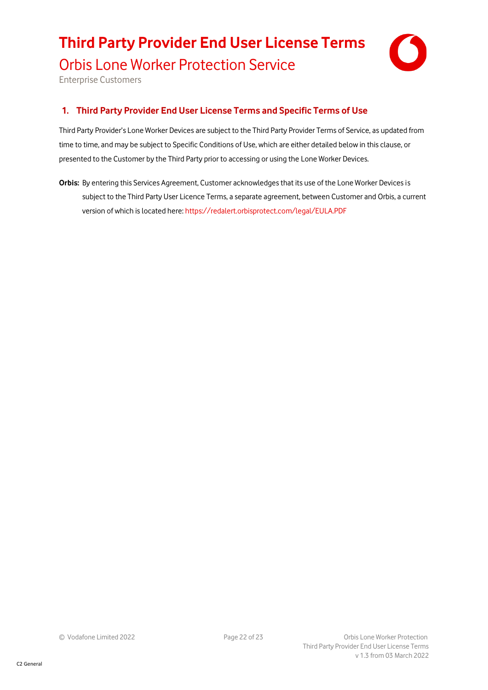# **Third Party Provider End User License Terms**



Orbis Lone Worker Protection Service

Enterprise Customers

### **1. Third Party Provider End User License Terms and Specific Terms of Use**

Third Party Provider's Lone Worker Devices are subject to the Third Party Provider Terms of Service, as updated from time to time, and may be subject to Specific Conditions of Use, which are either detailed below in this clause, or presented to the Customer by the Third Party prior to accessing or using the Lone Worker Devices.

**Orbis:** By entering this Services Agreement, Customer acknowledges that its use of the Lone Worker Devices is subject to the Third Party User Licence Terms, a separate agreement, between Customer and Orbis, a current version of which is located here: <https://redalert.orbisprotect.com/legal/EULA.PDF>